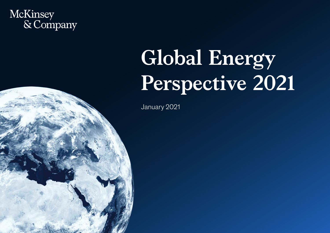# McKinsey<br>& Company

# **Global Energy Perspective 2021**

January 2021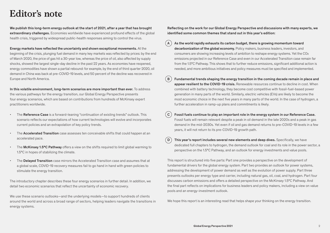## **Editor's note**

We publish this long-term energy outlook at the start of 2021, after a year that has brought extraordinary challenges. Economies worldwide have experienced profound effects of the global health crisis, triggered by widespread public-health responses aiming to control the virus.

Energy markets have reflected the uncertainty and shown exceptional movements. At the beginning of the crisis, plunging fuel demand in many key markets was reflected by prices: by the end of March 2020, the price of gas hit a 30-year low, whereas the price of oil, also affected by supply shocks, showed the largest single-day decline in the past 22 years. As economies have reopened, energy commodities have shown a partial rebound: for example, by the end of third quarter 2020, oil demand in China was back at pre-COVID-19 levels, and 50 percent of the decline was recovered in Europe and North America.

In this volatile environment, long-term scenarios are more important than ever. To address the various pathways for the energy transition, our Global Energy Perspective presents four energy scenarios, which are based on contributions from hundreds of McKinsey expert practitioners worldwide.

- The Reference Case is a forward-leaning "continuation of existing trends" outlook. This scenario reflects our expectations of how current technologies will evolve and incorporates current policies and an extrapolation of key policy trends.
- The **Accelerated Transition** case assesses ten conceivable shifts that could happen at an accelerated pace.
- The McKinsey 1.5°C Pathway offers a view on the shifts required to limit global warming to 1.5°C in hopes of stabilizing the climate.
- The Delayed Transition case mirrors the Accelerated Transition case and assumes that at a global scale, COVID-19 recovery measures fail to go hand in hand with green policies to stimulate the energy transition.

The introductory chapter describes these four energy scenarios in further detail. In addition, we detail two economic scenarios that reflect the uncertainty of economic recovery.

We use these scenario outlooks—and the underlying models—to support hundreds of clients around the world and across a broad range of sectors, helping leaders navigate the transitions in energy systems.

Reflecting on the work for our Global Energy Perspective and discussions with many experts, we identified some common themes that stand out in this year's edition:

- $\left(\, \mathsf{A} \,\right) \,$  As the world rapidly exhausts its carbon budget, there is growing momentum toward decarbonization of the global economy. Policy makers, business leaders, investors, and consumers are showing increasing levels of ambition to reshape energy systems. Yet the CO2 emissions projected in our Reference Case and even in our Accelerated Transition case remain far from the 1.5°C Pathway. This shows that to further reduce emissions, significant additional action is needed, and more ambitious initiatives and policy measures must be specified and implemented.
- $\,$   $\,$  B  $\,$   $\,$  Fundamental trends shaping the energy transition in the coming decade remain in place and appear resilient to the COVID-19 crisis. Renewable resources continue to decline in cost. When combined with battery technology, they become cost competitive with fossil-fuel-based power generation in many parts of the world. Similarly, electric vehicles (EVs) are likely to become the most economic choice in the next five years in many parts of the world. In the case of hydrogen, a further acceleration in ramp-up plans and commitments is likely.
- $(\, {\mathsf c} \, )\,$  Fossil fuels continue to play an important role in the energy system in our Reference Case. Fossil fuels will remain relevant despite a peak in oil demand in the late 2020s and a peak in gas demand in the mid-2030s. Yet even if oil and gas demand returns to pre-COVID-19 levels in a few years, it will not return to its pre-COVID-19 growth path.
- $\left(\, {\bf D} \,\right) \,$  This year's report includes several new elements and deep dives. Specifically, we have dedicated full chapters to hydrogen, the demand outlook for coal and its role in the power sector, a perspective on the 1.5°C Pathway, and an outlook for energy investments and value pools.

This report is structured into five parts: Part one provides a perspective on the development of fundamental drivers for the global energy system. Part two provides an outlook for power systems, addressing the development of power demand as well as the evolution of power supply. Part three presents outlooks per energy type and carrier, including natural gas, oil, coal, and hydrogen. Part four discusses carbon emissions and offers a detailed perspective on the McKinsey 1.5°C Pathway. And the final part reflects on implications for business leaders and policy makers, including a view on value pools and an energy-investment outlook.

We hope this report is an interesting read that helps shape your thinking on the energy transition.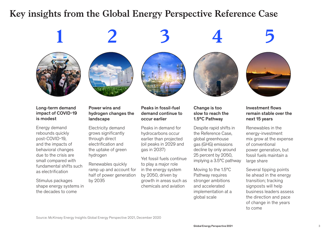## **Key insights from the Global Energy Perspective Reference Case**

## **1 2 3 4 5**











#### Long-term demand impact of COVID-19 is modest

Energy demand rebounds quickly post-COVID-19, and the impacts of behavioral changes due to the crisis are small compared with fundamental shifts such as electrification

Stimulus packages shape energy systems in the decades to come

### Power wins and hydrogen changes the landscape

Electricity demand grows significantly through direct electrification and the uptake of green hydrogen

Renewables quickly ramp up and account for half of power generation by 2035

### Peaks in fossil-fuel demand continue to occur earlier

Peaks in demand for hydrocarbons occur earlier than projected (oil peaks in 2029 and gas in 2037)

Yet fossil fuels continue to play a major role in the energy system by 2050, driven by growth in areas such as chemicals and aviation

Change is too slow to reach the 1.5°C Pathway

Despite rapid shifts in the Reference Case, global greenhouse gas (GHG) emissions decline by only around 25 percent by 2050, implying a 3.5°C pathway

Moving to the 1.5°C Pathway requires stronger ambitions and accelerated implementation at a global scale

#### Investment flows remain stable over the next 15 years

Renewables in the energy-investment mix grow at the expense of conventional power generation, but fossil fuels maintain a large share

Several tipping points lie ahead in the energy transition; tracking signposts will help business leaders assess the direction and pace of change in the years to come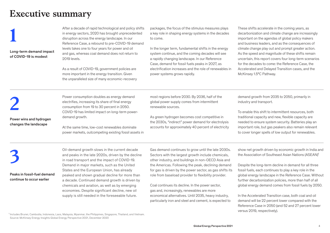## **Executive summary**

Long-term demand impact of COVID-19 is modest

After a decade of rapid technological and policy shifts<br>
in energy sectors, 2020 has brought unprecedented<br>
disruption across the energy landscape. In our<br>
Reference Case, a rebound to pre-COVID-19 demand in energy sectors, 2020 has brought unprecedented disruption across the energy landscape. In our levels takes one to four years for power and oil and gas, whereas coal demand does not return to 2019 levels.

> As a result of COVID-19, government policies are more important in the energy transition. Given the unparalleled size of many economic-recovery

packages, the focus of the stimulus measures plays a key role in shaping energy systems in the decades to come.

In the longer term, fundamental shifts in the energy system continue, and the coming decades will see a rapidly changing landscape. In our Reference Case, demand for fossil fuels peaks in 2027, as electrification increases and the role of renewables in power systems grows rapidly.

These shifts accelerate in the coming years, as decarbonization and climate change are increasingly important on the agendas of global policy makers and business leaders, and as the consequences of climate change play out and prompt greater action. As the speed and magnitude of these shifts remain uncertain, this report covers four long-term scenarios for the decades to come: the Reference Case, the Accelerated and Delayed Transition cases, and the McKinsey 1.5°C Pathway.

Power wins and hydrogen changes the landscape

Power consumption doubles as energy demand<br>
electrifies, increasing its share of final energy<br>
consumption from 19 to 30 percent in 2050.<br>
COVID-19 has limited impact on long-term powerelectrifies, increasing its share of final energy consumption from 19 to 30 percent in 2050. demand growth.

> At the same time, low-cost renewables dominate power markets, outcompeting existing fossil assets in

most regions before 2030. By 2036, half of the global power supply comes from intermittent renewable sources.

As green hydrogen becomes cost competitive in the 2030s, "indirect" power demand for electrolysis accounts for approximately 40 percent of electricity demand growth from 2035 to 2050, primarily in industry and transport.

To enable this shift to intermittent resources, both traditional capacity and new, flexible capacity are needed to ensure system security. Batteries play an important role, but gas peakers also remain relevant to cover longer spells of low output for renewables.

Peaks in fossil-fuel demand

continue to occur earlier

Oil-demand growth slows in the current decade<br>and peaks in the late 2020s, driven by the declir<br>in road transport and the impact of COVID-19.<br>Demand in major markets, such as the United and peaks in the late 2020s, driven by the decline in road transport and the impact of COVID-19. Demand in major markets, such as the United States and the European Union, has already peaked and shown gradual decline for more than a decade. Continued demand growth is driven by chemicals and aviation, as well as by emerging economies. Despite significant decline, new oil supply is still needed in the foreseeable future.

Gas demand continues to grow until the late 2030s. Sectors with the largest growth include chemicals, other industry, and buildings in non-OECD Asia and the Americas. Following the peak, declining demand for gas is driven by the power sector, as gas shifts its role from baseload provider to flexibility provider.

Coal continues its decline. In the power sector, gas and, increasingly, renewables are more economical alternatives. Until 2035, heavy industry, particularly iron and steel and cement, is expected to show net growth driven by economic growth in India and the Association of Southeast Asian Nations (ASEAN)<sup>1</sup>

Despite the long-term decline in demand for all three fossil fuels, each continues to play a key role in the global energy landscape in the Reference Case. Without further decarbonization policies, more than half of all global energy demand comes from fossil fuels by 2050.

In the Accelerated Transition case, both coal and oil demand will be 22 percent lower compared with the Reference Case in 2050 (and 52 and 27 percent lower versus 2019, respectively).

<sup>1</sup> Includes Brunei, Cambodia, Indonesia, Laos, Malaysia, Myanmar, the Philippines, Singapore, Thailand, and Vietnam. Source: McKinsey Energy Insights Global Energy Perspective 2021, December 2020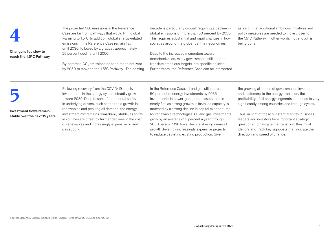

#### Change is too slow to reach the 1.5°C Pathway

The projected CO<sub>2</sub> emissions in the Reference<br>Case are far from pathways that would limit glo<br>warming to 1.5°C. In addition, global energy-rel<br>emissions in the Reference Case remain flat Case are far from pathways that would limit global warming to 1.5°C. In addition, global energy-related emissions in the Reference Case remain flat until 2030, followed by a gradual, approximately 25 percent decline until 2050.

> By contrast, CO $_{_2}$  emissions need to reach net zero by 2050 to move to the 1.5°C Pathway. The coming

decade is particularly crucial, requiring a decline in global emissions of more than 50 percent by 2030. This requires substantial and rapid changes in how societies around the globe fuel their economies.

Despite the increased momentum toward decarbonization, many governments still need to translate ambitious targets into specific policies. Furthermore, the Reference Case can be interpreted as a sign that additional ambitious initiatives and policy measures are needed to move closer to the 1.5°C Pathway. In other words, not enough is being done.

Investment flows remain stable over the next 15 years

Following recovery from the COVID-19 shock,<br>investments in the energy system steadily grov<br>toward 2035. Despite some fundamental shift<br>in underlying drivers, such as the rapid growth investments in the energy system steadily grow toward 2035. Despite some fundamental shifts in underlying drivers, such as the rapid growth in renewables and peaking oil demand, the energyinvestment mix remains remarkably stable, as shifts in volumes are offset by further declines in the cost of renewables and increasingly expensive oil and gas supply.

In the Reference Case, oil and gas still represent 50 percent of energy investments by 2035. Investments in power-generation assets remain nearly flat, as strong growth in installed capacity is matched by a strong decline in capital expenditures for renewable technologies. Oil and gas investments grow by an average of 3 percent a year through 2030 versus 2020 lows, despite slowing demand growth driven by increasingly expensive projects to replace depleting existing production. Given

the growing attention of governments, investors, and customers to the energy transition, the profitability of all energy segments continues to vary significantly among countries and through cycles.

Thus, in light of these substantial shifts, business leaders and investors face important strategic questions. To navigate the transition, they must identify and track key signposts that indicate the direction and speed of change.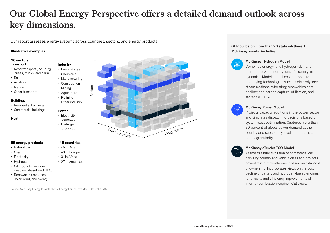## **Our Global Energy Perspective offers a detailed demand outlook across**   $\epsilon$  key dimensions.

Our report assesses energy systems across countries, sectors, and energy products

#### Illustrative examples

#### 30 sectors **Transport**

- Road transport (including buses, trucks, and cars)
- Rail
- Aviation
- Marine
- Other transport

#### Buildings

- Residential buildings
- Commercial buildings

#### Heat

#### 55 energy products

- Natural gas
- Coal
- Electricity
- Hydrogen
- Oil products (including gasoline, diesel, and HFO)
- Renewable resources (solar, wind, and hydro)

Source: McKinsey Energy Insights Global Energy Perspective 2021, December 2020

146 countries • 45 in Asia • 43 in Europe • 31 in Africa • 27 in Americas

Industry • Iron and steel • Chemicals • Manufacturing • Construction • Mining • Agriculture • Refining • Other industry

Power • Electricity generation • Hydrogen production



#### GEP builds on more than 20 state-of-the-art McKinsey assets, including:



#### McKinsey Hydrogen Model

 Combines energy- and hydrogen-demand projections with country-specific supply-cost dynamics. Models detail cost outlooks for underlying technologies such as electrolyzers; steam methane reforming; renewables cost decline; and carbon capture, utilization, and storage (CCUS)



#### McKinsey Power Model

 Projects capacity additions in the power sector and simulates dispatching decisions based on system-cost optimization. Captures more than 80 percent of global power demand at the country and subcountry level and models at hourly granularity



## McKinsey eTrucks TCO Model

 Assesses future evolution of commercial car parks by country and vehicle class and projects powertrain-mix development based on total cost of ownership. Incorporates views on the cost decline of battery and hydrogen-fueled engines for eTrucks and efficiency improvements of internal-combustion-engine (ICE) trucks

Global Energy Perspective 2021 6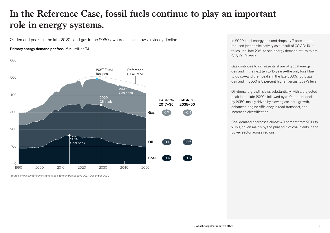### **In the Reference Case, fossil fuels continue to play an important**  role in energy systems. role in en

Oil demand peaks in the late 2020s and gas in the 2030s, whereas coal shows a steady decline

#### Primary energy demand per fossil fuel, million TJ



Source: McKinsey Energy Insights Global Energy Perspective 2021, December 2020

In 2020, total energy demand drops by 7 percent due to reduced (economic) activity as a result of COVID-19. It takes until late 2021 to see energy demand return to pre-COVID-19 levels

Gas continues to increase its share of global energy demand in the next ten to 15 years—the only fossil fuel to do so—and then peaks in the late 2030s. Still, gas demand in 2050 is 5 percent higher versus today's level

Oil-demand growth slows substantially, with a projected peak in the late 2020s followed by a 10 percent decline by 2050, mainly driven by slowing car-park growth, enhanced engine efficiency in road transport, and increased electrification

Coal demand decreases almost 40 percent from 2019 to 2050, driven mainly by the phaseout of coal plants in the power sector across regions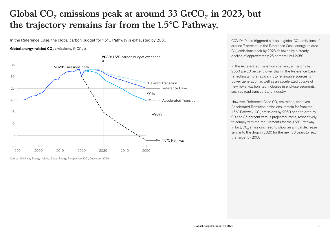## **Global CO₂ emissions peak at around 33 GtCO₂ in 2023, but**  the trajectory remains far from the 1.5°C Pathway. ric trajector y remain

In the Reference Case, the global carbon budget for 1.5°C Pathway is exhausted by 2030

#### Global energy-related CO<sub>2</sub> emissions, GtCO<sub>2</sub> p.a.



Source: McKinsey Energy Insights Global Energy Perspective 2021, December 2020

COVID-19 has triggered a drop in global CO $_{\textrm{\tiny{2}}}$  emissions of around 7 percent. In the Reference Case, energy-related  $\mathrm{CO}_2$  emissions peak by 2023, followed by a steady decline of approximately 25 percent until 2050

In the Accelerated Transition scenario, emissions by 2050 are 20 percent lower than in the Reference Case, reflecting a more rapid shift to renewable sources for power generation as well as an accelerated uptake of new, lower-carbon technologies in end-use segments, such as road transport and industry

However, Reference Case CO<sub>2</sub> emissions, and even Accelerated Transition emissions, remain far from the 1.5°C Pathway. CO $_{\tiny 2}$  emissions by 2050 need to drop by 90 and 85 percent versus projected levels, respectively, to comply with the requirements for the 1.5ºC Pathway. In fact,  $\mathsf{CO}_2$  emissions need to show an annual decrease similar to the drop in 2020 for the next 30 years to reach the target by 2050